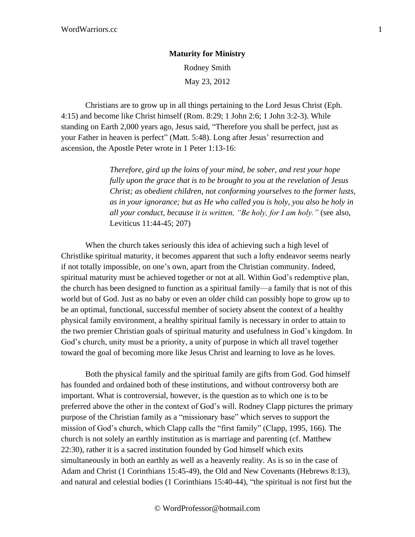## **Maturity for Ministry** Rodney Smith

May 23, 2012

Christians are to grow up in all things pertaining to the Lord Jesus Christ (Eph. 4:15) and become like Christ himself (Rom. 8:29; 1 John 2:6; 1 John 3:2-3). While standing on Earth 2,000 years ago, Jesus said, "Therefore you shall be perfect, just as your Father in heaven is perfect" (Matt. 5:48). Long after Jesus' resurrection and ascension, the Apostle Peter wrote in 1 Peter 1:13-16:

> *Therefore, gird up the loins of your mind, be sober, and rest your hope fully upon the grace that is to be brought to you at the revelation of Jesus Christ; as obedient children, not conforming yourselves to the former lusts, as in your ignorance; but as He who called you is holy, you also be holy in all your conduct, because it is written, "Be holy, for I am holy."* (see also, Leviticus 11:44-45; 207)

When the church takes seriously this idea of achieving such a high level of Christlike spiritual maturity, it becomes apparent that such a lofty endeavor seems nearly if not totally impossible, on one's own, apart from the Christian community. Indeed, spiritual maturity must be achieved together or not at all. Within God's redemptive plan, the church has been designed to function as a spiritual family—a family that is not of this world but of God. Just as no baby or even an older child can possibly hope to grow up to be an optimal, functional, successful member of society absent the context of a healthy physical family environment, a healthy spiritual family is necessary in order to attain to the two premier Christian goals of spiritual maturity and usefulness in God's kingdom. In God's church, unity must be a priority, a unity of purpose in which all travel together toward the goal of becoming more like Jesus Christ and learning to love as he loves.

Both the physical family and the spiritual family are gifts from God. God himself has founded and ordained both of these institutions, and without controversy both are important. What is controversial, however, is the question as to which one is to be preferred above the other in the context of God's will. Rodney Clapp pictures the primary purpose of the Christian family as a "missionary base" which serves to support the mission of God's church, which Clapp calls the "first family" (Clapp, 1995, 166). The church is not solely an earthly institution as is marriage and parenting (cf. Matthew 22:30), rather it is a sacred institution founded by God himself which exits simultaneously in both an earthly as well as a heavenly reality. As is so in the case of Adam and Christ (1 Corinthians 15:45-49), the Old and New Covenants (Hebrews 8:13), and natural and celestial bodies (1 Corinthians 15:40-44), "the spiritual is not first but the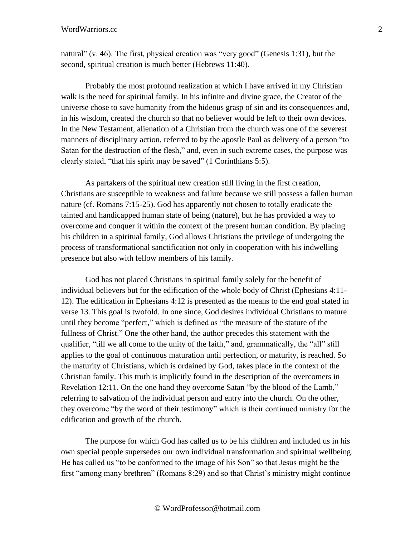natural" (v. 46). The first, physical creation was "very good" (Genesis 1:31), but the second, spiritual creation is much better (Hebrews 11:40).

Probably the most profound realization at which I have arrived in my Christian walk is the need for spiritual family. In his infinite and divine grace, the Creator of the universe chose to save humanity from the hideous grasp of sin and its consequences and, in his wisdom, created the church so that no believer would be left to their own devices. In the New Testament, alienation of a Christian from the church was one of the severest manners of disciplinary action, referred to by the apostle Paul as delivery of a person "to Satan for the destruction of the flesh," and, even in such extreme cases, the purpose was clearly stated, "that his spirit may be saved" (1 Corinthians 5:5).

As partakers of the spiritual new creation still living in the first creation, Christians are susceptible to weakness and failure because we still possess a fallen human nature (cf. Romans 7:15-25). God has apparently not chosen to totally eradicate the tainted and handicapped human state of being (nature), but he has provided a way to overcome and conquer it within the context of the present human condition. By placing his children in a spiritual family, God allows Christians the privilege of undergoing the process of transformational sanctification not only in cooperation with his indwelling presence but also with fellow members of his family.

God has not placed Christians in spiritual family solely for the benefit of individual believers but for the edification of the whole body of Christ (Ephesians 4:11- 12). The edification in Ephesians 4:12 is presented as the means to the end goal stated in verse 13. This goal is twofold. In one since, God desires individual Christians to mature until they become "perfect," which is defined as "the measure of the stature of the fullness of Christ." One the other hand, the author precedes this statement with the qualifier, "till we all come to the unity of the faith," and, grammatically, the "all" still applies to the goal of continuous maturation until perfection, or maturity, is reached. So the maturity of Christians, which is ordained by God, takes place in the context of the Christian family. This truth is implicitly found in the description of the overcomers in Revelation 12:11. On the one hand they overcome Satan "by the blood of the Lamb," referring to salvation of the individual person and entry into the church. On the other, they overcome "by the word of their testimony" which is their continued ministry for the edification and growth of the church.

The purpose for which God has called us to be his children and included us in his own special people supersedes our own individual transformation and spiritual wellbeing. He has called us "to be conformed to the image of his Son" so that Jesus might be the first "among many brethren" (Romans 8:29) and so that Christ's ministry might continue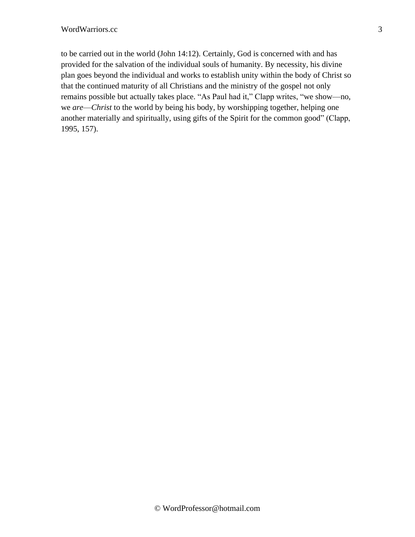to be carried out in the world (John 14:12). Certainly, God is concerned with and has provided for the salvation of the individual souls of humanity. By necessity, his divine plan goes beyond the individual and works to establish unity within the body of Christ so that the continued maturity of all Christians and the ministry of the gospel not only remains possible but actually takes place. "As Paul had it," Clapp writes, "we show—no, we *are*—*Christ* to the world by being his body, by worshipping together, helping one another materially and spiritually, using gifts of the Spirit for the common good" (Clapp, 1995, 157).